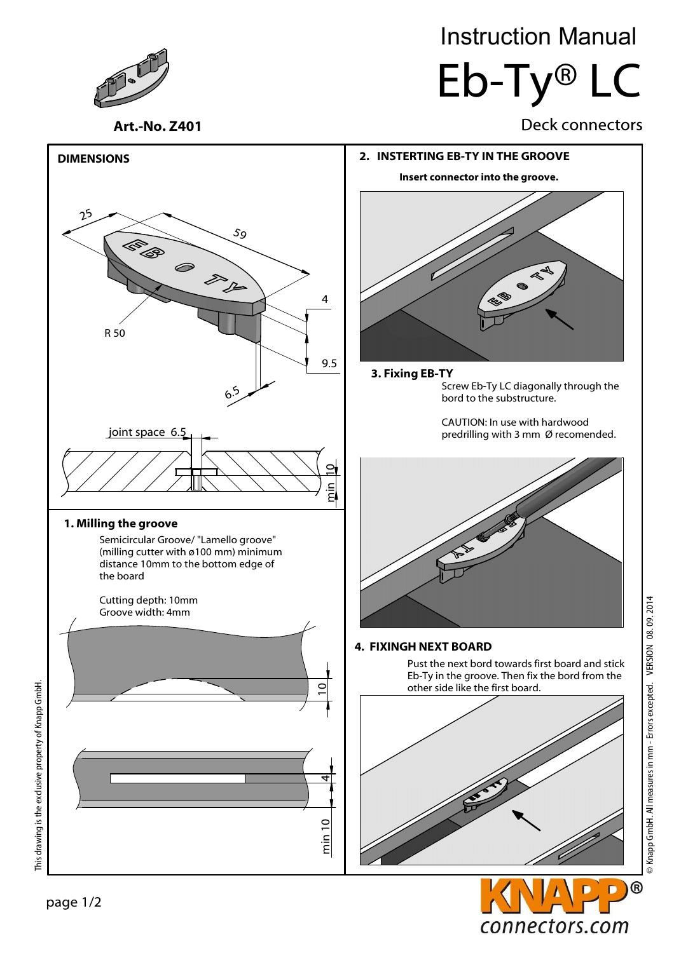

# Instruction Manual Eb-Ty® LC

### Art.-No. Z401 Deck connectors





© Knapp GmbH. All measures in mm - Errors excepted. VERSION 08. 09. 2014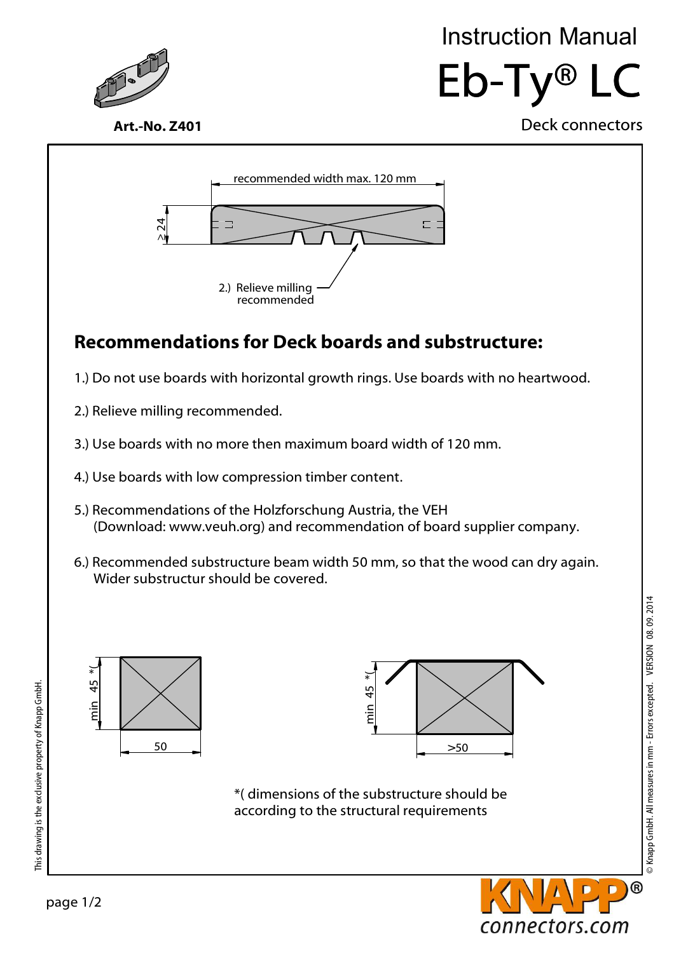

# Eb-Ty® LC Instruction Manual

Deck connectors

Art.-No. Z401



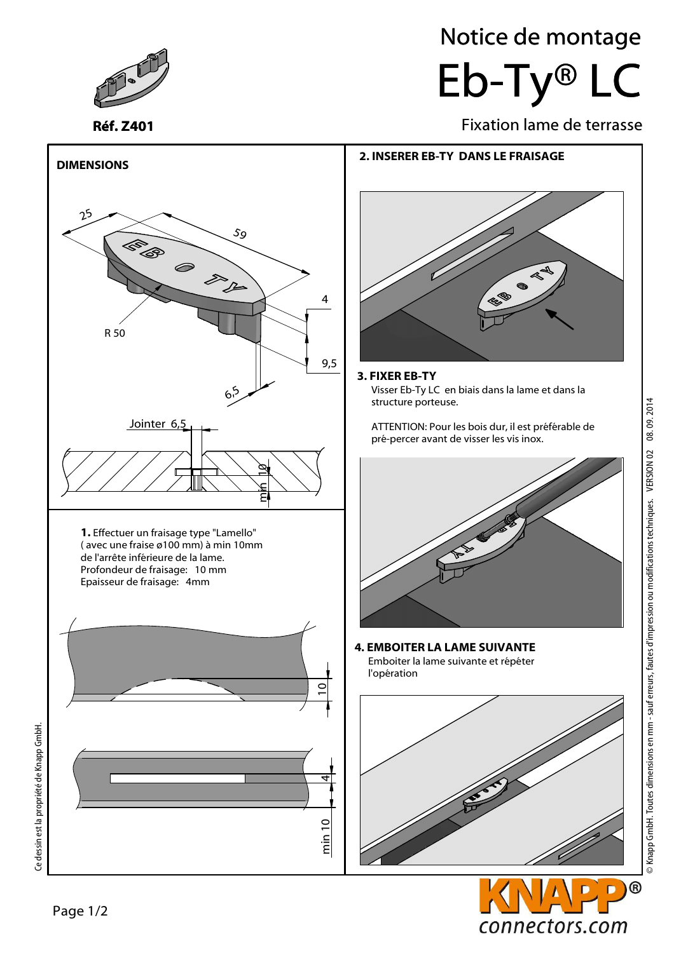

Réf. Z401

# Eb-Ty® LC Notice de montage

Fixation lame de terrasse



### 3. FIXER EB-TY

Visser Eb-Ty LC en biais dans la lame et dans la structure porteuse.

ATTENTION: Pour les bois dur, il est préférable de pré-percer avant de visser les vis inox.



4. EMBOITER LA LAME SUIVANTE Emboiter la lame suivante et répéter l'opération



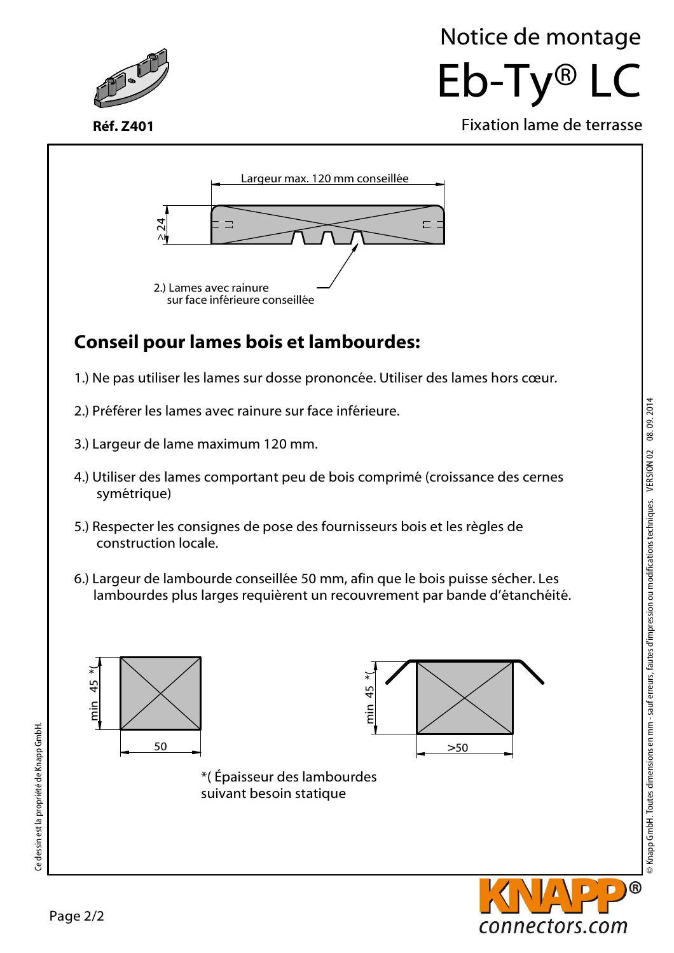

Réf. Z401

## Eb-Ty® LC Notice de montage

Fixation lame de terrasse



### Conseil pour lames bois et lambourdes:

- 1.) Ne pas utiliser les lames sur dosse prononcée. Utiliser des lames hors cœur.
- 2.) Préférer les lames avec rainure sur face inférieure.
- 3.) Largeur de lame maximum 120 mm.
- 4.) Utiliser des lames comportant peu de bois comprimé (croissance des cernes symétrique)
- 5.) Respecter les consignes de pose des fournisseurs bois et les règles de construction locale.
- 6.) Largeur de lambourde conseillée 50 mm, afin que le bois puisse sécher. Les lambourdes plus larges requièrent un recouvrement par bande d'étanchéité.





Ce dessin est la propriété de Knapp GmbH.

Ce dessin est la propriété de Knapp GmbH.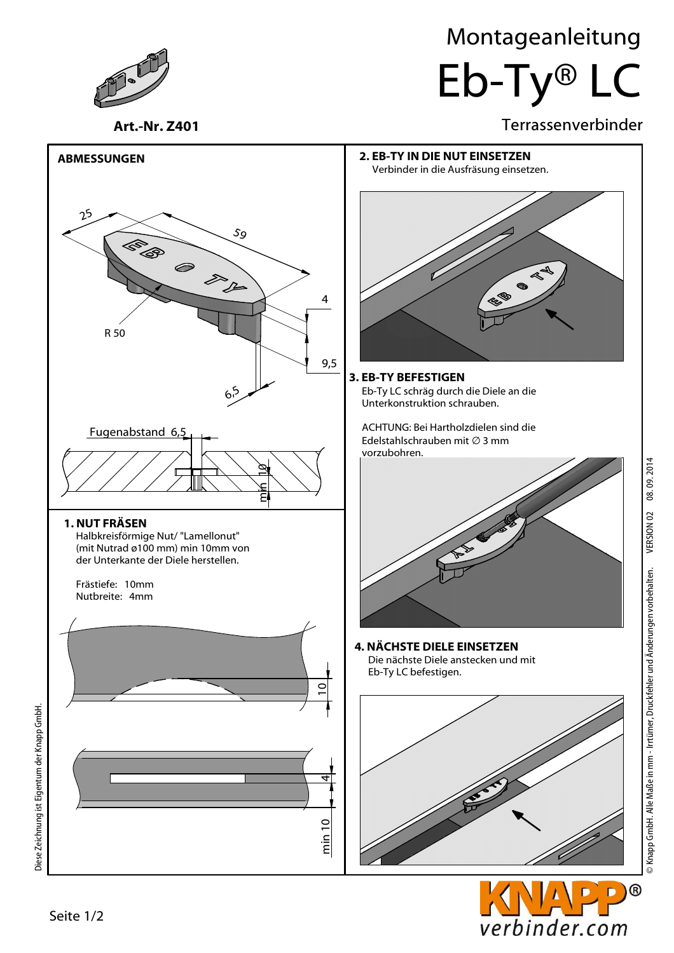Montageanleitung

Eb-Ty® LC

### Terrassenverbinder



 $^{\circledR}$ D

verbinder.com

Art.-Nr. Z401